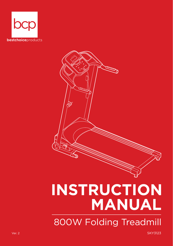



# **INSTRUCTION MANUAL** 800W Folding Treadmill

Ver. 2 SKY3123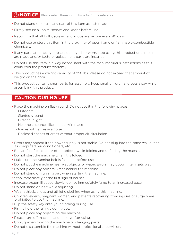## **NOTICE**

Please retain these instructions for future reference.

- Do not stand on or use any part of this item as a step ladder.
- Firmly secure all bolts, screws and knobs before use.
- Reconfirm that all bolts, screws, and knobs are secure every 90 days.
- Do not use or store this item in the proximity of open flame or flammable/combustible chemicals.
- If any parts are missing, broken, damaged, or worn, stop using this product until repairs are made and/or factory replacement parts are installed.
- Do not use this item in a way inconsistent with the manufacturer's instructions as this could void the product warranty.
- This product has a weight capacity of 250 lbs. Please do not exceed that amount of weight on the chair.
- This product contains small parts for assembly. Keep small children and pets away while assembling this product.

## **CAUTION DURING USE**

- Place the machine on flat ground. Do not use it in the following places:
	- Outdoors
	- Slanted ground
	- Direct sunlight
	- Near heat sources like a heater/fireplace
	- Places with excessive noise
	- Enclosed spaces or areas without proper air circulation.
- Errors may appear if the power supply is not stable. Do not plug into the same wall outlet as computers, air conditioners, etc.
- Be careful of children or other objects while folding and unfolding the machine.
- Do not start the machine when it is folded.
- Make sure the running belt is fastened before use.
- Do not put the machine near wet objects or water. Errors may occur if item gets wet.
- Do not place any objects 6 feet behind the machine.
- Do not stand on running belt when starting the machine.
- Stop immediately at the first sign of nausea.
- Increase treadmill speed slowly; do not immediately jump to an increased pace.
- Do not stand on belt while adjusting.
- Wear athletic shoes and athletic clothing when using this machine.
- Children, elderly, pregnant women, and patients recovering from injuries or surgery are prohibited to use the machine.
- Clip the safety key onto your clothing during use.
- Firmly hold the railings during use.
- Do not place any objects on the machine.
- Please turn off machine and unplug after using.
- Unplug when moving the machine or changing parts.
- Do not disassemble the machine without professional supervision.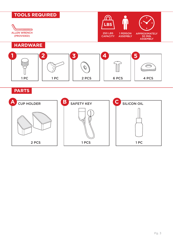

2 PCS | | 1 PCS | | 1 PC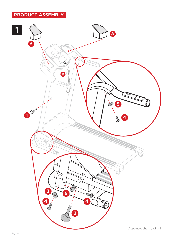## **THE PRODUCT ASSEMBLY**

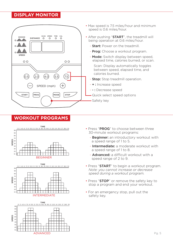## **DISPLAY MONITOR**



- Max speed is 7.5 miles/hour and minimum speed is 0.6 miles/hour.
- After pushing "START", the treadmill will being operation at 0.6 miles/hour.
	- Start: Power on the treadmill.
	- **Prog:** Choose a workout program.
	- Mode: Switch display between speed, elapsed time, calories burned, or scan.

Scan: Display automatically toggles between speed, elapsed time, and calories burned.

- Stop: Stop treadmill operation.
- + : Increase speed
- - : Decrease speed
- Quick select speed options
- Safety key

## **WORKOUT PROGRAMS**









- Press "PROG" to choose between three 30-minute workout programs:
	- Beginner: an introductory workout with a speed range of 1 to 5.
	- **Intermediate:** a moderate workout with a speed range of 1 to 8.
	- **Advanced:** a difficult workout with a speed range of 2 to 9.
- Press "START" to begin a workout program. *Note: you cannot increase or decrease speed during a workout program.*
- Press "STOP" or remove the safety key to stop a program and end your workout.
- For an emergency stop, pull out the safety key.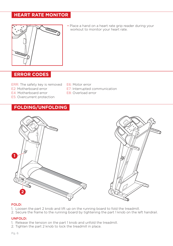## **HEART RATE MONITOR**



• Place a hand on a heart rate grip reader during your workout to monitor your heart rate.

## **ERROR CODES**

- ERR: The safety key is removed E6: Motor error E2: Motherboard error E4: Motherboard error E5: Overcurrent protection
	-
	- E7: Interrupted communication
	- E8: Overload error

## **FOLDING/UNFOLDING**





#### FOLD:

- 1. Loosen the part 2 knob and lift up on the running board to fold the treadmill.
- 2. Secure the frame to the running board by tightening the part 1 knob on the left handrail.

#### UNFOLD:

- 1. Release the tension on the part 1 knob and unfold the treadmill.
- 2. Tighten the part 2 knob to lock the treadmill in place.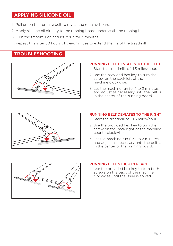## **APPLYING SILICONE OIL**

- 1. Pull up on the running belt to reveal the running board.
- 2. Apply silicone oil directly to the running board underneath the running belt.
- 3. Turn the treadmill on and let it run for 3 minutes.
- 4. Repeat this after 30 hours of treadmill use to extend the life of the treadmill.

## **TROUBLESHOOTING**



#### RUNNING BELT DEVIATES TO THE LEFT

- 1. Start the treadmill at 1-1.5 miles/hour.
- 2. Use the provided hex key to turn the screw on the back left of the machine clockwise.
- 3. Let the machine run for 1 to 2 minutes and adjust as necessary until the belt is in the center of the running board.



#### RUNNING BELT DEVIATES TO THE RIGHT

- 1. Start the treadmill at 1-1.5 miles/hour.
- 2. Use the provided hex key to turn the screw on the back right of the machine counterclockwise.
- 3. Let the machine run for 1 to 2 minutes and adjust as necessary until the belt is in the center of the running board.



#### RUNNING BELT STUCK IN PLACE

1. Use the provided hex key to turn both screws on the back of the machine clockwise until the issue is solved.